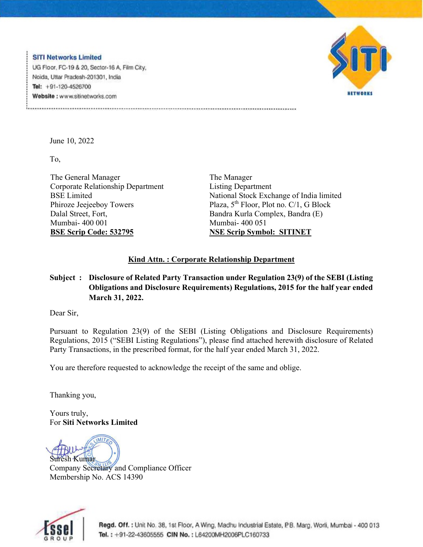**SITI Networks Limited** UG Floor, FC-19 & 20, Sector-16 A, Film City, Noida, Uttar Pradesh-201301, India Tel:  $+91-120-4526700$ Website: www.sitinetworks.com



June 10, 2022

To,

The General Manager Corporate Relationship Department BSE Limited Phiroze Jeejeeboy Towers Dalal Street, Fort, Mumbai- 400 001 **BSE Scrip Code: 532795** 

The Manager Listing Department National Stock Exchange of India limited Plaza, 5<sup>th</sup> Floor, Plot no. C/1, G Block Bandra Kurla Complex, Bandra (E) Mumbai- 400 051 **NSE Scrip Symbol: SITINET**

## **Kind Attn. : Corporate Relationship Department**

## **Subject : Disclosure of Related Party Transaction under Regulation 23(9) of the SEBI (Listing Obligations and Disclosure Requirements) Regulations, 2015 for the half year ended March 31, 2022.**

Dear Sir,

Pursuant to Regulation 23(9) of the SEBI (Listing Obligations and Disclosure Requirements) Regulations, 2015 ("SEBI Listing Regulations"), please find attached herewith disclosure of Related Party Transactions, in the prescribed format, for the half year ended March 31, 2022.

You are therefore requested to acknowledge the receipt of the same and oblige.

Thanking you,

Yours truly, For **Siti Networks Limited** 

**MITA** sh Kumar

Company Secretary and Compliance Officer Membership No. ACS 14390